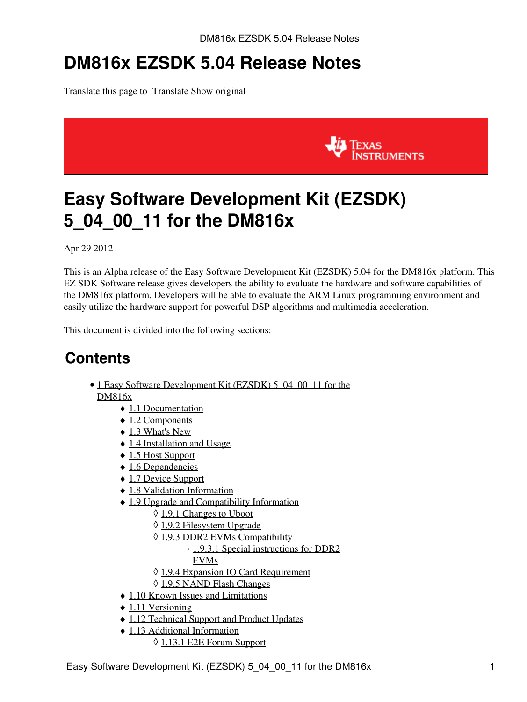# **DM816x EZSDK 5.04 Release Notes**

Translate this page to Translate Show original



# <span id="page-0-0"></span>**Easy Software Development Kit (EZSDK) 5\_04\_00\_11 for the DM816x**

Apr 29 2012

This is an Alpha release of the Easy Software Development Kit (EZSDK) 5.04 for the DM816x platform. This EZ SDK Software release gives developers the ability to evaluate the hardware and software capabilities of the DM816x platform. Developers will be able to evaluate the ARM Linux programming environment and easily utilize the hardware support for powerful DSP algorithms and multimedia acceleration.

This document is divided into the following sections:

### **Contents**

- 1 Easy Software Development Kit (EZSDK) 5 04 00 11 for the [DM816x](#page-0-0)
	- ♦ [1.1 Documentation](#page-1-0)
	- ◆ [1.2 Components](#page-1-1)
	- $\triangleleft$  [1.3 What's New](#page-2-0)
	- ♦ [1.4 Installation and Usage](#page-2-1)
	- ♦ [1.5 Host Support](#page-2-2)
	- ◆ [1.6 Dependencies](#page-2-3)
	- ♦ [1.7 Device Support](#page-2-4)
	- ♦ [1.8 Validation Information](#page-2-5)
	- [1.9 Upgrade and Compatibility Information](#page-2-6)
		- ◊ [1.9.1 Changes to Uboot](#page-2-7)
		- ◊ [1.9.2 Filesystem Upgrade](#page-2-8)
		- ◊ [1.9.3 DDR2 EVMs Compatibility](#page-3-0)
			- ⋅ [1.9.3.1 Special instructions for DDR2](#page-3-1)
			- [EVMs](#page-3-1)
		- ◊ [1.9.4 Expansion IO Card Requirement](#page-3-2)
		- ◊ [1.9.5 NAND Flash Changes](#page-3-3)
	- ♦ [1.10 Known Issues and Limitations](#page-3-4)
	- $\triangle$  [1.11 Versioning](#page-4-0)
	- ♦ [1.12 Technical Support and Product Updates](#page-4-1)
	- [1.13 Additional Information](#page-4-2) ♦
		- ◊ [1.13.1 E2E Forum Support](#page-4-3)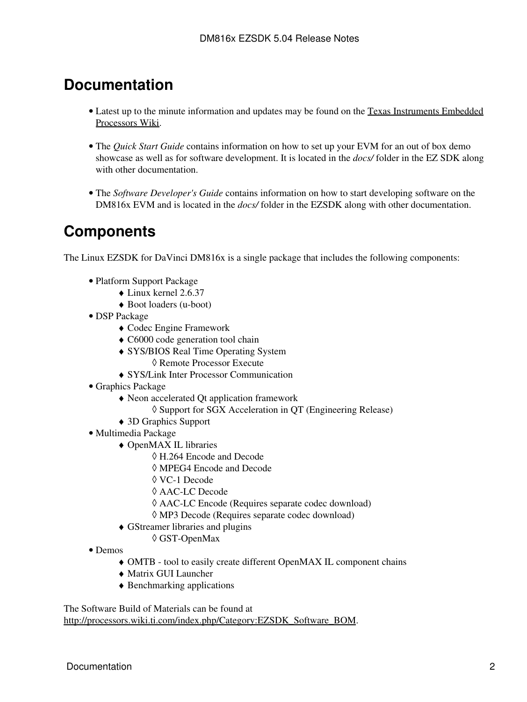### <span id="page-1-0"></span>**Documentation**

- Latest up to the minute information and updates may be found on the [Texas Instruments Embedded](http://processors.wiki.ti.com/index.php/Main_Page) [Processors Wiki.](http://processors.wiki.ti.com/index.php/Main_Page)
- The *Quick Start Guide* contains information on how to set up your EVM for an out of box demo showcase as well as for software development. It is located in the *docs/* folder in the EZ SDK along with other documentation.
- The *Software Developer's Guide* contains information on how to start developing software on the DM816x EVM and is located in the *docs/* folder in the EZSDK along with other documentation.

## <span id="page-1-1"></span>**Components**

The Linux EZSDK for DaVinci DM816x is a single package that includes the following components:

- Platform Support Package
	- ♦ Linux kernel 2.6.37
	- ♦ Boot loaders (u-boot)
- DSP Package
	- ♦ Codec Engine Framework
	- ♦ C6000 code generation tool chain
	- SYS/BIOS Real Time Operating System ♦ ◊ Remote Processor Execute
	- ♦ SYS/Link Inter Processor Communication
- Graphics Package
	- Neon accelerated Qt application framework ♦
		- ◊ Support for SGX Acceleration in QT (Engineering Release)
	- ♦ 3D Graphics Support
- Multimedia Package
	- OpenMAX IL libraries ♦
		- ◊ H.264 Encode and Decode
		- ◊ MPEG4 Encode and Decode
		- ◊ VC-1 Decode
		- ◊ AAC-LC Decode
		- ◊ AAC-LC Encode (Requires separate codec download)
		- ◊ MP3 Decode (Requires separate codec download)
	- GStreamer libraries and plugins ♦
		- ◊ GST-OpenMax
- Demos
	- ♦ OMTB tool to easily create different OpenMAX IL component chains
	- ♦ Matrix GUI Launcher
	- ♦ Benchmarking applications

The Software Build of Materials can be found at [http://processors.wiki.ti.com/index.php/Category:EZSDK\\_Software\\_BOM.](http://processors.wiki.ti.com/index.php/Category:EZSDK_Software_BOM)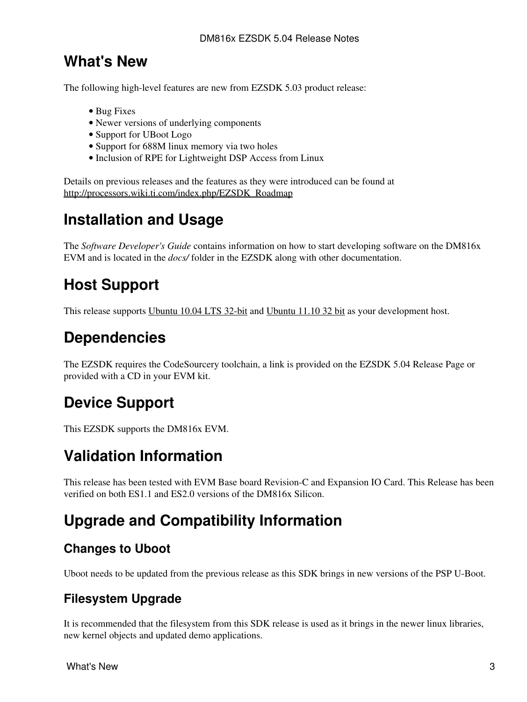### <span id="page-2-0"></span>**What's New**

The following high-level features are new from EZSDK 5.03 product release:

- Bug Fixes
- Newer versions of underlying components
- Support for UBoot Logo
- Support for 688M linux memory via two holes
- Inclusion of RPE for Lightweight DSP Access from Linux

Details on previous releases and the features as they were introduced can be found at [http://processors.wiki.ti.com/index.php/EZSDK\\_Roadmap](http://processors.wiki.ti.com/index.php/EZSDK_Roadmap)

### <span id="page-2-1"></span>**Installation and Usage**

The *Software Developer's Guide* contains information on how to start developing software on the DM816x EVM and is located in the *docs/* folder in the EZSDK along with other documentation.

## <span id="page-2-2"></span>**Host Support**

This release supports [Ubuntu 10.04 LTS 32-bit](http://www.ubuntu.com) and [Ubuntu 11.10 32 bit](http://www.ubuntu.com) as your development host.

### <span id="page-2-3"></span>**Dependencies**

The EZSDK requires the CodeSourcery toolchain, a link is provided on the EZSDK 5.04 Release Page or provided with a CD in your EVM kit.

## <span id="page-2-4"></span>**Device Support**

This EZSDK supports the DM816x EVM.

### <span id="page-2-5"></span>**Validation Information**

This release has been tested with EVM Base board Revision-C and Expansion IO Card. This Release has been verified on both ES1.1 and ES2.0 versions of the DM816x Silicon.

## <span id="page-2-6"></span>**Upgrade and Compatibility Information**

### <span id="page-2-7"></span>**Changes to Uboot**

Uboot needs to be updated from the previous release as this SDK brings in new versions of the PSP U-Boot.

#### <span id="page-2-8"></span>**Filesystem Upgrade**

It is recommended that the filesystem from this SDK release is used as it brings in the newer linux libraries, new kernel objects and updated demo applications.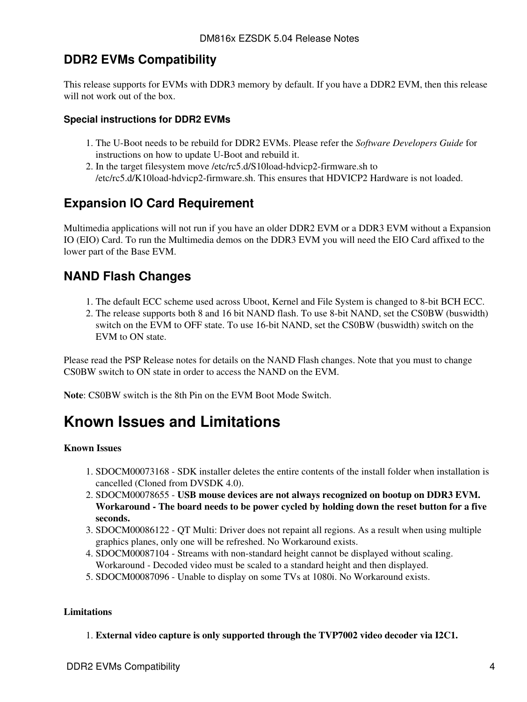### <span id="page-3-0"></span>**DDR2 EVMs Compatibility**

This release supports for EVMs with DDR3 memory by default. If you have a DDR2 EVM, then this release will not work out of the box.

#### <span id="page-3-1"></span>**Special instructions for DDR2 EVMs**

- 1. The U-Boot needs to be rebuild for DDR2 EVMs. Please refer the Software Developers Guide for instructions on how to update U-Boot and rebuild it.
- 2. In the target filesystem move /etc/rc5.d/S10load-hdvicp2-firmware.sh to /etc/rc5.d/K10load-hdvicp2-firmware.sh. This ensures that HDVICP2 Hardware is not loaded.

### <span id="page-3-2"></span>**Expansion IO Card Requirement**

Multimedia applications will not run if you have an older DDR2 EVM or a DDR3 EVM without a Expansion IO (EIO) Card. To run the Multimedia demos on the DDR3 EVM you will need the EIO Card affixed to the lower part of the Base EVM.

#### <span id="page-3-3"></span>**NAND Flash Changes**

- 1. The default ECC scheme used across Uboot, Kernel and File System is changed to 8-bit BCH ECC.
- 2. The release supports both 8 and 16 bit NAND flash. To use 8-bit NAND, set the CS0BW (buswidth) switch on the EVM to OFF state. To use 16-bit NAND, set the CS0BW (buswidth) switch on the EVM to ON state.

Please read the PSP Release notes for details on the NAND Flash changes. Note that you must to change CS0BW switch to ON state in order to access the NAND on the EVM.

**Note**: CS0BW switch is the 8th Pin on the EVM Boot Mode Switch.

## <span id="page-3-4"></span>**Known Issues and Limitations**

#### **Known Issues**

- 1. SDOCM00073168 SDK installer deletes the entire contents of the install folder when installation is cancelled (Cloned from DVSDK 4.0).
- 2. SDOCM00078655 USB mouse devices are not always recognized on bootup on DDR3 EVM. **Workaround - The board needs to be power cycled by holding down the reset button for a five seconds.**
- 3. SDOCM00086122 QT Multi: Driver does not repaint all regions. As a result when using multiple graphics planes, only one will be refreshed. No Workaround exists.
- 4. SDOCM00087104 Streams with non-standard height cannot be displayed without scaling. Workaround - Decoded video must be scaled to a standard height and then displayed.
- 5. SDOCM00087096 Unable to display on some TVs at 1080i. No Workaround exists.

#### **Limitations**

1. **External video capture is only supported through the TVP7002 video decoder via I2C1.**